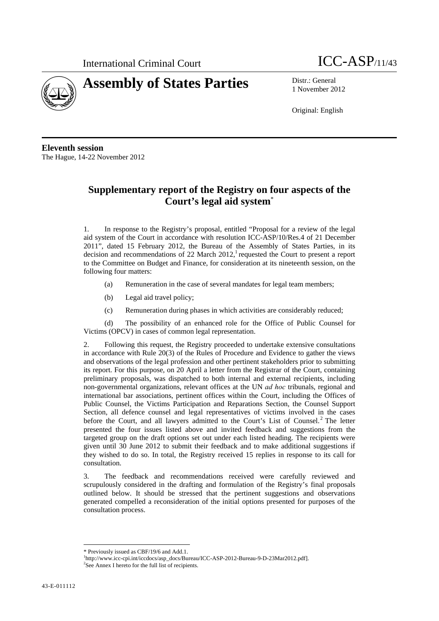International Criminal Court **ICC-ASP**/11/43





1 November 2012

Original: English

**Eleventh session**  The Hague, 14-22 November 2012

# **Supplementary report of the Registry on four aspects of the Court's legal aid system**\*

1. In response to the Registry's proposal, entitled "Proposal for a review of the legal aid system of the Court in accordance with resolution ICC-ASP/10/Res.4 of 21 December 2011", dated 15 February 2012, the Bureau of the Assembly of States Parties, in its decision and recommendations of 22 March 2012, requested the Court to present a report to the Committee on Budget and Finance, for consideration at its nineteenth session, on the following four matters:

- (a) Remuneration in the case of several mandates for legal team members;
- (b) Legal aid travel policy;
- (c) Remuneration during phases in which activities are considerably reduced;

(d) The possibility of an enhanced role for the Office of Public Counsel for Victims (OPCV) in cases of common legal representation.

2. Following this request, the Registry proceeded to undertake extensive consultations in accordance with Rule 20(3) of the Rules of Procedure and Evidence to gather the views and observations of the legal profession and other pertinent stakeholders prior to submitting its report. For this purpose, on 20 April a letter from the Registrar of the Court, containing preliminary proposals, was dispatched to both internal and external recipients, including non-governmental organizations, relevant offices at the UN *ad hoc* tribunals, regional and international bar associations, pertinent offices within the Court, including the Offices of Public Counsel, the Victims Participation and Reparations Section, the Counsel Support Section, all defence counsel and legal representatives of victims involved in the cases before the Court, and all lawyers admitted to the Court's List of Counsel.<sup>2</sup> The letter presented the four issues listed above and invited feedback and suggestions from the targeted group on the draft options set out under each listed heading. The recipients were given until 30 June 2012 to submit their feedback and to make additional suggestions if they wished to do so. In total, the Registry received 15 replies in response to its call for consultation.

3. The feedback and recommendations received were carefully reviewed and scrupulously considered in the drafting and formulation of the Registry's final proposals outlined below. It should be stressed that the pertinent suggestions and observations generated compelled a reconsideration of the initial options presented for purposes of the consultation process.

<sup>&</sup>lt;u> 1989 - Johann Barbara, martxa alemaniar a</u> \* Previously issued as CBF/19/6 and Add.1.

<sup>&</sup>lt;sup>1</sup>http://www.icc-cpi.int/iccdocs/asp\_docs/Bureau/ICC-ASP-2012-Bureau-9-D-23Mar2012.pdf]. <sup>2</sup>See Annex I hereto for the full list of recipients.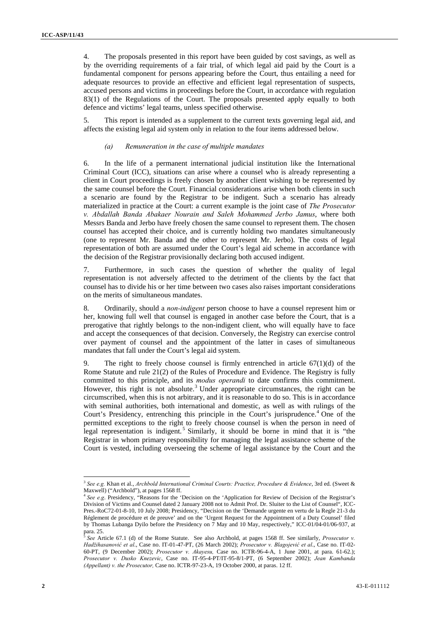4. The proposals presented in this report have been guided by cost savings, as well as by the overriding requirements of a fair trial, of which legal aid paid by the Court is a fundamental component for persons appearing before the Court, thus entailing a need for adequate resources to provide an effective and efficient legal representation of suspects, accused persons and victims in proceedings before the Court, in accordance with regulation 83(1) of the Regulations of the Court. The proposals presented apply equally to both defence and victims' legal teams, unless specified otherwise.

5. This report is intended as a supplement to the current texts governing legal aid, and affects the existing legal aid system only in relation to the four items addressed below.

#### *(a) Remuneration in the case of multiple mandates*

6. In the life of a permanent international judicial institution like the International Criminal Court (ICC), situations can arise where a counsel who is already representing a client in Court proceedings is freely chosen by another client wishing to be represented by the same counsel before the Court. Financial considerations arise when both clients in such a scenario are found by the Registrar to be indigent. Such a scenario has already materialized in practice at the Court: a current example is the joint case of *The Prosecutor v. Abdallah Banda Abakaer Nourain and Saleh Mohammed Jerbo Jamus*, where both Messrs Banda and Jerbo have freely chosen the same counsel to represent them. The chosen counsel has accepted their choice, and is currently holding two mandates simultaneously (one to represent Mr. Banda and the other to represent Mr. Jerbo). The costs of legal representation of both are assumed under the Court's legal aid scheme in accordance with the decision of the Registrar provisionally declaring both accused indigent.

7. Furthermore, in such cases the question of whether the quality of legal representation is not adversely affected to the detriment of the clients by the fact that counsel has to divide his or her time between two cases also raises important considerations on the merits of simultaneous mandates.

8. Ordinarily, should a *non-indigent* person choose to have a counsel represent him or her, knowing full well that counsel is engaged in another case before the Court, that is a prerogative that rightly belongs to the non-indigent client, who will equally have to face and accept the consequences of that decision. Conversely, the Registry can exercise control over payment of counsel and the appointment of the latter in cases of simultaneous mandates that fall under the Court's legal aid system.

9. The right to freely choose counsel is firmly entrenched in article  $67(1)(d)$  of the Rome Statute and rule 21(2) of the Rules of Procedure and Evidence. The Registry is fully committed to this principle, and its *modus operandi* to date confirms this commitment. However, this right is not absolute.<sup>3</sup> Under appropriate circumstances, the right can be circumscribed, when this is not arbitrary, and it is reasonable to do so. This is in accordance with seminal authorities, both international and domestic, as well as with rulings of the Court's Presidency, entrenching this principle in the Court's jurisprudence.<sup>4</sup> One of the permitted exceptions to the right to freely choose counsel is when the person in need of legal representation is indigent.<sup>5</sup> Similarly, it should be borne in mind that it is "the Registrar in whom primary responsibility for managing the legal assistance scheme of the Court is vested, including overseeing the scheme of legal assistance by the Court and the

<sup>3</sup> *See e.g.* Khan et al., *Archbold International Criminal Courts: Practice, Procedure & Evidence*, 3rd ed. (Sweet & Maxwell) ("Archbold"), at pages 1568 ff.

<sup>&</sup>lt;sup>4</sup> See e.g. Presidency, "Reasons for the 'Decision on the 'Application for Review of Decision of the Registrar's Division of Victims and Counsel dated 2 January 2008 not to Admit Prof. Dr. Sluiter to the List of Counsel", ICC-Pres.-RoC72-01-8-10, 10 July 2008; Presidency, "Decision on the 'Demande urgente en vertu de la Regle 21-3 du Réglement de procédure et de preuve' and on the 'Urgent Request for the Appointment of a Duty Counsel' filed by Thomas Lubanga Dyilo before the Presidency on 7 May and 10 May, respectively," ICC-01/04-01/06-937, at para. 25.

<sup>5</sup> *See* Article 67.1 (d) of the Rome Statute. See also Archbold, at pages 1568 ff. See similarly, *Prosecutor v. Hadžihasanović et al*., Case no. IT-01-47-PT, (26 March 2002); *Prosecutor v. Blagojević et al*., Case no. IT-02- 60-PT, (9 December 2002); *Prosecutor v. Akayesu,* Case no. ICTR-96-4-A, 1 June 2001, at para. 61-62.); *Prosecutor v. Dusko Knezevic*, Case no. IT-95-4-PT/IT-95-8/1-PT, (6 September 2002); *Jean Kambanda (Appellant) v. the Prosecutor,* Case no. ICTR-97-23-A, 19 October 2000, at paras. 12 ff.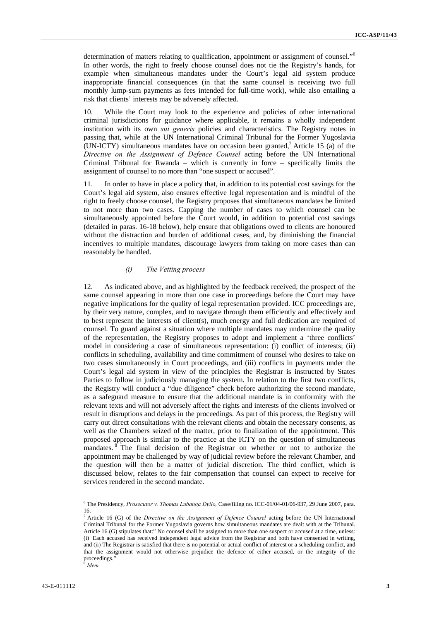determination of matters relating to qualification, appointment or assignment of counsel."6 In other words, the right to freely choose counsel does not tie the Registry's hands, for example when simultaneous mandates under the Court's legal aid system produce inappropriate financial consequences (in that the same counsel is receiving two full monthly lump-sum payments as fees intended for full-time work), while also entailing a risk that clients' interests may be adversely affected.

10. While the Court may look to the experience and policies of other international criminal jurisdictions for guidance where applicable, it remains a wholly independent institution with its own *sui generis* policies and characteristics. The Registry notes in passing that, while at the UN International Criminal Tribunal for the Former Yugoslavia (UN-ICTY) simultaneous mandates have on occasion been granted,<sup>7</sup> Article 15 (a) of the *Directive on the Assignment of Defence Counsel* acting before the UN International Criminal Tribunal for Rwanda – which is currently in force – specifically limits the assignment of counsel to no more than "one suspect or accused".

11. In order to have in place a policy that, in addition to its potential cost savings for the Court's legal aid system, also ensures effective legal representation and is mindful of the right to freely choose counsel, the Registry proposes that simultaneous mandates be limited to not more than two cases. Capping the number of cases to which counsel can be simultaneously appointed before the Court would, in addition to potential cost savings (detailed in paras. 16-18 below), help ensure that obligations owed to clients are honoured without the distraction and burden of additional cases, and, by diminishing the financial incentives to multiple mandates, discourage lawyers from taking on more cases than can reasonably be handled.

## *(i) The Vetting process*

12. As indicated above, and as highlighted by the feedback received, the prospect of the same counsel appearing in more than one case in proceedings before the Court may have negative implications for the quality of legal representation provided. ICC proceedings are, by their very nature, complex, and to navigate through them efficiently and effectively and to best represent the interests of client(s), much energy and full dedication are required of counsel. To guard against a situation where multiple mandates may undermine the quality of the representation, the Registry proposes to adopt and implement a 'three conflicts' model in considering a case of simultaneous representation: (i) conflict of interests; (ii) conflicts in scheduling, availability and time commitment of counsel who desires to take on two cases simultaneously in Court proceedings, and (iii) conflicts in payments under the Court's legal aid system in view of the principles the Registrar is instructed by States Parties to follow in judiciously managing the system. In relation to the first two conflicts, the Registry will conduct a "due diligence" check before authorizing the second mandate, as a safeguard measure to ensure that the additional mandate is in conformity with the relevant texts and will not adversely affect the rights and interests of the clients involved or result in disruptions and delays in the proceedings. As part of this process, the Registry will carry out direct consultations with the relevant clients and obtain the necessary consents, as well as the Chambers seized of the matter, prior to finalization of the appointment. This proposed approach is similar to the practice at the ICTY on the question of simultaneous mandates. <sup>8</sup> The final decision of the Registrar on whether or not to authorize the appointment may be challenged by way of judicial review before the relevant Chamber, and the question will then be a matter of judicial discretion. The third conflict, which is discussed below, relates to the fair compensation that counsel can expect to receive for services rendered in the second mandate.

 6 The Presidency, *Prosecutor v. Thomas Lubanga Dyilo,* Case/filing no. ICC-01/04-01/06-937, 29 June 2007, para.  $\frac{16}{7}$ .

Article 16 (G) of the *Directive on the Assignment of Defence Counsel* acting before the UN International Criminal Tribunal for the Former Yugoslavia governs how simultaneous mandates are dealt with at the Tribunal. Article 16 (G) stipulates that:" No counsel shall be assigned to more than one suspect or accused at a time, unless: (i) Each accused has received independent legal advice from the Registrar and both have consented in writing, and (ii) The Registrar is satisfied that there is no potential or actual conflict of interest or a scheduling conflict, and that the assignment would not otherwise prejudice the defence of either accused, or the integrity of the proceedings."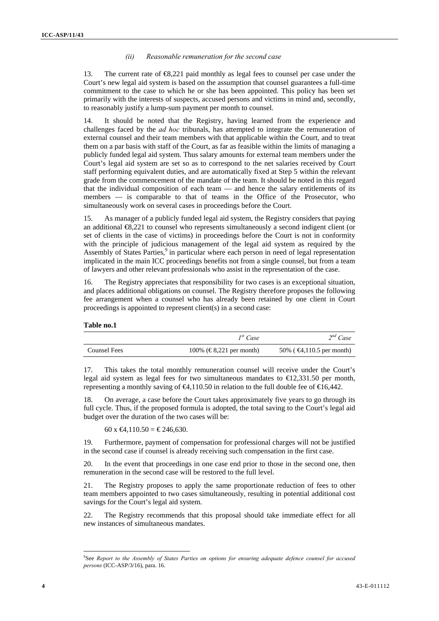#### *(ii) Reasonable remuneration for the second case*

13. The current rate of €8,221 paid monthly as legal fees to counsel per case under the Court's new legal aid system is based on the assumption that counsel guarantees a full-time commitment to the case to which he or she has been appointed. This policy has been set primarily with the interests of suspects, accused persons and victims in mind and, secondly, to reasonably justify a lump-sum payment per month to counsel.

14. It should be noted that the Registry, having learned from the experience and challenges faced by the *ad hoc* tribunals, has attempted to integrate the remuneration of external counsel and their team members with that applicable within the Court, and to treat them on a par basis with staff of the Court, as far as feasible within the limits of managing a publicly funded legal aid system. Thus salary amounts for external team members under the Court's legal aid system are set so as to correspond to the net salaries received by Court staff performing equivalent duties, and are automatically fixed at Step 5 within the relevant grade from the commencement of the mandate of the team. It should be noted in this regard that the individual composition of each team — and hence the salary entitlements of its members — is comparable to that of teams in the Office of the Prosecutor, who simultaneously work on several cases in proceedings before the Court.

15. As manager of a publicly funded legal aid system, the Registry considers that paying an additional €8,221 to counsel who represents simultaneously a second indigent client (or set of clients in the case of victims) in proceedings before the Court is not in conformity with the principle of judicious management of the legal aid system as required by the Assembly of States Parties,<sup>9</sup> in particular where each person in need of legal representation implicated in the main ICC proceedings benefits not from a single counsel, but from a team of lawyers and other relevant professionals who assist in the representation of the case.

16. The Registry appreciates that responsibility for two cases is an exceptional situation, and places additional obligations on counsel. The Registry therefore proposes the following fee arrangement when a counsel who has already been retained by one client in Court proceedings is appointed to represent client(s) in a second case:

#### **Table no.1**

|              | $I^{st}$ Case           | $2^{nd}$ Case                       |
|--------------|-------------------------|-------------------------------------|
| Counsel Fees | 100% (€8,221 per month) | 50% ( $\bigoplus$ ,110.5 per month) |

17. This takes the total monthly remuneration counsel will receive under the Court's legal aid system as legal fees for two simultaneous mandates to  $\text{ } \in \text{ } 2,331.50 \text{ per month}$ , representing a monthly saving of  $\bigoplus$ , 110.50 in relation to the full double fee of  $\bigoplus$  6,442.

18. On average, a case before the Court takes approximately five years to go through its full cycle. Thus, if the proposed formula is adopted, the total saving to the Court's legal aid budget over the duration of the two cases will be:

60 x €4,110.50 = € 246,630.

<u> 1989 - Johann Barbara, martxa alemaniar a</u>

19. Furthermore, payment of compensation for professional charges will not be justified in the second case if counsel is already receiving such compensation in the first case.

20. In the event that proceedings in one case end prior to those in the second one, then remuneration in the second case will be restored to the full level.

21. The Registry proposes to apply the same proportionate reduction of fees to other team members appointed to two cases simultaneously, resulting in potential additional cost savings for the Court's legal aid system.

22. The Registry recommends that this proposal should take immediate effect for all new instances of simultaneous mandates.

<sup>9</sup> See *Report to the Assembly of States Parties on options for ensuring adequate defence counsel for accused persons* (ICC-ASP/3/16), para. 16.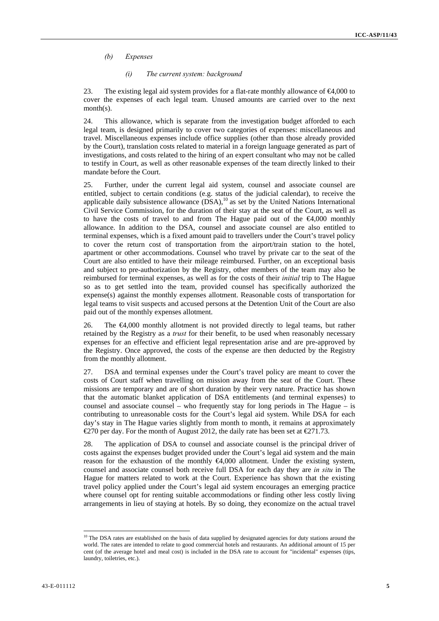## *(b) Expenses*

#### *(i) The current system: background*

23. The existing legal aid system provides for a flat-rate monthly allowance of  $\epsilon 4,000$  to cover the expenses of each legal team. Unused amounts are carried over to the next month(s).

24. This allowance, which is separate from the investigation budget afforded to each legal team, is designed primarily to cover two categories of expenses: miscellaneous and travel. Miscellaneous expenses include office supplies (other than those already provided by the Court), translation costs related to material in a foreign language generated as part of investigations, and costs related to the hiring of an expert consultant who may not be called to testify in Court, as well as other reasonable expenses of the team directly linked to their mandate before the Court.

25. Further, under the current legal aid system, counsel and associate counsel are entitled, subject to certain conditions (e.g. status of the judicial calendar), to receive the applicable daily subsistence allowance  $(DSA)$ ,<sup>10</sup> as set by the United Nations International Civil Service Commission, for the duration of their stay at the seat of the Court, as well as to have the costs of travel to and from The Hague paid out of the  $\epsilon 4,000$  monthly allowance. In addition to the DSA, counsel and associate counsel are also entitled to terminal expenses, which is a fixed amount paid to travellers under the Court's travel policy to cover the return cost of transportation from the airport/train station to the hotel, apartment or other accommodations. Counsel who travel by private car to the seat of the Court are also entitled to have their mileage reimbursed. Further, on an exceptional basis and subject to pre-authorization by the Registry, other members of the team may also be reimbursed for terminal expenses, as well as for the costs of their *initial* trip to The Hague so as to get settled into the team, provided counsel has specifically authorized the expense(s) against the monthly expenses allotment. Reasonable costs of transportation for legal teams to visit suspects and accused persons at the Detention Unit of the Court are also paid out of the monthly expenses allotment.

The  $\epsilon 4,000$  monthly allotment is not provided directly to legal teams, but rather retained by the Registry as a *trust* for their benefit, to be used when reasonably necessary expenses for an effective and efficient legal representation arise and are pre-approved by the Registry. Once approved, the costs of the expense are then deducted by the Registry from the monthly allotment.

27. DSA and terminal expenses under the Court's travel policy are meant to cover the costs of Court staff when travelling on mission away from the seat of the Court. These missions are temporary and are of short duration by their very nature. Practice has shown that the automatic blanket application of DSA entitlements (and terminal expenses) to counsel and associate counsel – who frequently stay for long periods in The Hague – is contributing to unreasonable costs for the Court's legal aid system. While DSA for each day's stay in The Hague varies slightly from month to month, it remains at approximately €270 per day. For the month of August 2012, the daily rate has been set at €271.73.

28. The application of DSA to counsel and associate counsel is the principal driver of costs against the expenses budget provided under the Court's legal aid system and the main reason for the exhaustion of the monthly €4,000 allotment. Under the existing system, counsel and associate counsel both receive full DSA for each day they are *in situ* in The Hague for matters related to work at the Court. Experience has shown that the existing travel policy applied under the Court's legal aid system encourages an emerging practice where counsel opt for renting suitable accommodations or finding other less costly living arrangements in lieu of staying at hotels. By so doing, they economize on the actual travel

 $10$  The DSA rates are established on the basis of data supplied by designated agencies for duty stations around the world. The rates are intended to relate to good commercial hotels and restaurants. An additional amount of 15 per cent (of the average hotel and meal cost) is included in the DSA rate to account for "incidental" expenses (tips, laundry, toiletries, etc.).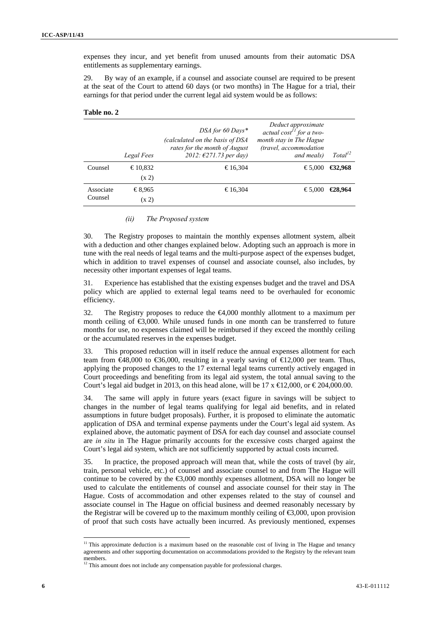expenses they incur, and yet benefit from unused amounts from their automatic DSA entitlements as supplementary earnings.

29. By way of an example, if a counsel and associate counsel are required to be present at the seat of the Court to attend 60 days (or two months) in The Hague for a trial, their earnings for that period under the current legal aid system would be as follows:

| Table no. 2 |  |  |
|-------------|--|--|
|-------------|--|--|

|                      | Legal Fees | DSA for 60 Days*<br>(calculated on the basis of DSA<br>rates for the month of August<br>2012: $\epsilon$ 271.73 per day) | Deduct approximate<br>actual cost <sup>11</sup> for a two-<br>month stay in The Hague<br>(travel, accommodation<br>and meals) | Total <sup>12</sup> |
|----------------------|------------|--------------------------------------------------------------------------------------------------------------------------|-------------------------------------------------------------------------------------------------------------------------------|---------------------|
| Counsel              | €10,832    | €16,304                                                                                                                  | €5,000                                                                                                                        | €32.968             |
|                      | (x 2)      |                                                                                                                          |                                                                                                                               |                     |
| Associate<br>Counsel | €8,965     | €16.304                                                                                                                  | €5,000                                                                                                                        | €28.964             |
|                      | (x 2)      |                                                                                                                          |                                                                                                                               |                     |

#### *(ii) The Proposed system*

30. The Registry proposes to maintain the monthly expenses allotment system, albeit with a deduction and other changes explained below. Adopting such an approach is more in tune with the real needs of legal teams and the multi-purpose aspect of the expenses budget, which in addition to travel expenses of counsel and associate counsel, also includes, by necessity other important expenses of legal teams.

31. Experience has established that the existing expenses budget and the travel and DSA policy which are applied to external legal teams need to be overhauled for economic efficiency.

32. The Registry proposes to reduce the €4,000 monthly allotment to a maximum per month ceiling of  $\epsilon$ 3,000. While unused funds in one month can be transferred to future months for use, no expenses claimed will be reimbursed if they exceed the monthly ceiling or the accumulated reserves in the expenses budget.

33. This proposed reduction will in itself reduce the annual expenses allotment for each team from  $\text{ } \in \text{ } 48,000$  to  $\text{ } \in \text{ } 56,000$ , resulting in a yearly saving of  $\text{ } \in \text{ } 12,000$  per team. Thus, applying the proposed changes to the 17 external legal teams currently actively engaged in Court proceedings and benefiting from its legal aid system, the total annual saving to the Court's legal aid budget in 2013, on this head alone, will be 17  $x \notin 2,000$ , or  $\in \{204,000.00\}$ .

34. The same will apply in future years (exact figure in savings will be subject to changes in the number of legal teams qualifying for legal aid benefits, and in related assumptions in future budget proposals). Further, it is proposed to eliminate the automatic application of DSA and terminal expense payments under the Court's legal aid system. As explained above, the automatic payment of DSA for each day counsel and associate counsel are *in situ* in The Hague primarily accounts for the excessive costs charged against the Court's legal aid system, which are not sufficiently supported by actual costs incurred.

35. In practice, the proposed approach will mean that, while the costs of travel (by air, train, personal vehicle, etc.) of counsel and associate counsel to and from The Hague will continue to be covered by the  $\epsilon$ 3,000 monthly expenses allotment, DSA will no longer be used to calculate the entitlements of counsel and associate counsel for their stay in The Hague. Costs of accommodation and other expenses related to the stay of counsel and associate counsel in The Hague on official business and deemed reasonably necessary by the Registrar will be covered up to the maximum monthly ceiling of  $\epsilon$ 3,000, upon provision of proof that such costs have actually been incurred. As previously mentioned, expenses

 $11$  This approximate deduction is a maximum based on the reasonable cost of living in The Hague and tenancy agreements and other supporting documentation on accommodations provided to the Registry by the relevant team members.

<sup>&</sup>lt;sup>12</sup> This amount does not include any compensation payable for professional charges.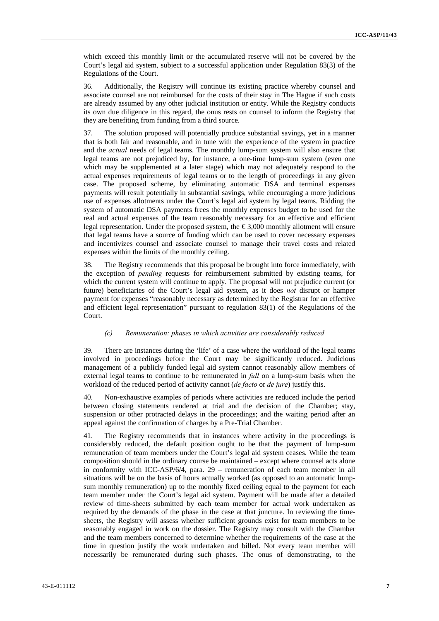which exceed this monthly limit or the accumulated reserve will not be covered by the Court's legal aid system, subject to a successful application under Regulation 83(3) of the Regulations of the Court.

36. Additionally, the Registry will continue its existing practice whereby counsel and associate counsel are not reimbursed for the costs of their stay in The Hague if such costs are already assumed by any other judicial institution or entity. While the Registry conducts its own due diligence in this regard, the onus rests on counsel to inform the Registry that they are benefiting from funding from a third source.

37. The solution proposed will potentially produce substantial savings, yet in a manner that is both fair and reasonable, and in tune with the experience of the system in practice and the *actual* needs of legal teams. The monthly lump-sum system will also ensure that legal teams are not prejudiced by, for instance, a one-time lump-sum system (even one which may be supplemented at a later stage) which may not adequately respond to the actual expenses requirements of legal teams or to the length of proceedings in any given case. The proposed scheme, by eliminating automatic DSA and terminal expenses payments will result potentially in substantial savings, while encouraging a more judicious use of expenses allotments under the Court's legal aid system by legal teams. Ridding the system of automatic DSA payments frees the monthly expenses budget to be used for the real and actual expenses of the team reasonably necessary for an effective and efficient legal representation. Under the proposed system, the  $\epsilon$ 3,000 monthly allotment will ensure that legal teams have a source of funding which can be used to cover necessary expenses and incentivizes counsel and associate counsel to manage their travel costs and related expenses within the limits of the monthly ceiling.

38. The Registry recommends that this proposal be brought into force immediately, with the exception of *pending* requests for reimbursement submitted by existing teams, for which the current system will continue to apply. The proposal will not prejudice current (or future) beneficiaries of the Court's legal aid system, as it does *not* disrupt or hamper payment for expenses "reasonably necessary as determined by the Registrar for an effective and efficient legal representation" pursuant to regulation 83(1) of the Regulations of the Court.

#### *(c) Remuneration: phases in which activities are considerably reduced*

39. There are instances during the 'life' of a case where the workload of the legal teams involved in proceedings before the Court may be significantly reduced. Judicious management of a publicly funded legal aid system cannot reasonably allow members of external legal teams to continue to be remunerated in *full* on a lump-sum basis when the workload of the reduced period of activity cannot (*de facto* or *de jure*) justify this.

40. Non-exhaustive examples of periods where activities are reduced include the period between closing statements rendered at trial and the decision of the Chamber; stay, suspension or other protracted delays in the proceedings; and the waiting period after an appeal against the confirmation of charges by a Pre-Trial Chamber.

41. The Registry recommends that in instances where activity in the proceedings is considerably reduced, the default position ought to be that the payment of lump-sum remuneration of team members under the Court's legal aid system ceases. While the team composition should in the ordinary course be maintained – except where counsel acts alone in conformity with ICC-ASP/6/4, para. 29 – remuneration of each team member in all situations will be on the basis of hours actually worked (as opposed to an automatic lumpsum monthly remuneration) up to the monthly fixed ceiling equal to the payment for each team member under the Court's legal aid system. Payment will be made after a detailed review of time-sheets submitted by each team member for actual work undertaken as required by the demands of the phase in the case at that juncture. In reviewing the timesheets, the Registry will assess whether sufficient grounds exist for team members to be reasonably engaged in work on the dossier. The Registry may consult with the Chamber and the team members concerned to determine whether the requirements of the case at the time in question justify the work undertaken and billed. Not every team member will necessarily be remunerated during such phases. The onus of demonstrating, to the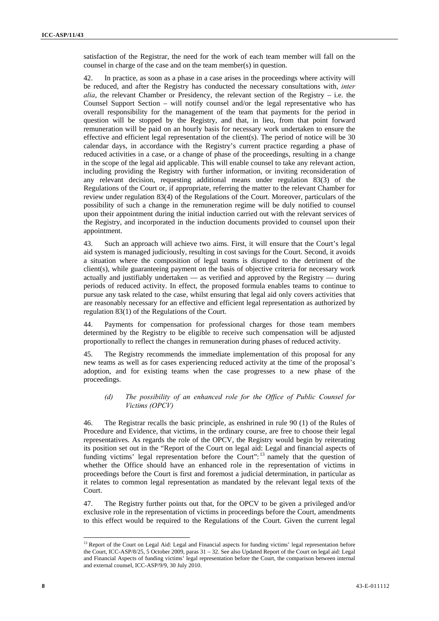satisfaction of the Registrar, the need for the work of each team member will fall on the counsel in charge of the case and on the team member(s) in question.

42. In practice, as soon as a phase in a case arises in the proceedings where activity will be reduced, and after the Registry has conducted the necessary consultations with, *inter alia*, the relevant Chamber or Presidency, the relevant section of the Registry  $-$  i.e. the Counsel Support Section – will notify counsel and/or the legal representative who has overall responsibility for the management of the team that payments for the period in question will be stopped by the Registry, and that, in lieu, from that point forward remuneration will be paid on an hourly basis for necessary work undertaken to ensure the effective and efficient legal representation of the client(s). The period of notice will be 30 calendar days, in accordance with the Registry's current practice regarding a phase of reduced activities in a case, or a change of phase of the proceedings, resulting in a change in the scope of the legal aid applicable. This will enable counsel to take any relevant action, including providing the Registry with further information, or inviting reconsideration of any relevant decision, requesting additional means under regulation 83(3) of the Regulations of the Court or, if appropriate, referring the matter to the relevant Chamber for review under regulation 83(4) of the Regulations of the Court. Moreover, particulars of the possibility of such a change in the remuneration regime will be duly notified to counsel upon their appointment during the initial induction carried out with the relevant services of the Registry, and incorporated in the induction documents provided to counsel upon their appointment.

43. Such an approach will achieve two aims. First, it will ensure that the Court's legal aid system is managed judiciously, resulting in cost savings for the Court. Second, it avoids a situation where the composition of legal teams is disrupted to the detriment of the client(s), while guaranteeing payment on the basis of objective criteria for necessary work actually and justifiably undertaken — as verified and approved by the Registry — during periods of reduced activity. In effect, the proposed formula enables teams to continue to pursue any task related to the case, whilst ensuring that legal aid only covers activities that are reasonably necessary for an effective and efficient legal representation as authorized by regulation 83(1) of the Regulations of the Court.

44. Payments for compensation for professional charges for those team members determined by the Registry to be eligible to receive such compensation will be adjusted proportionally to reflect the changes in remuneration during phases of reduced activity.

45. The Registry recommends the immediate implementation of this proposal for any new teams as well as for cases experiencing reduced activity at the time of the proposal's adoption, and for existing teams when the case progresses to a new phase of the proceedings.

### *(d) The possibility of an enhanced role for the Office of Public Counsel for Victims (OPCV)*

46. The Registrar recalls the basic principle, as enshrined in rule 90 (1) of the Rules of Procedure and Evidence, that victims, in the ordinary course, are free to choose their legal representatives. As regards the role of the OPCV, the Registry would begin by reiterating its position set out in the "Report of the Court on legal aid: Legal and financial aspects of funding victims' legal representation before the Court":  $13$  namely that the question of whether the Office should have an enhanced role in the representation of victims in proceedings before the Court is first and foremost a judicial determination, in particular as it relates to common legal representation as mandated by the relevant legal texts of the Court.

47. The Registry further points out that, for the OPCV to be given a privileged and/or exclusive role in the representation of victims in proceedings before the Court, amendments to this effect would be required to the Regulations of the Court. Given the current legal

<sup>&</sup>lt;sup>13</sup> Report of the Court on Legal Aid: Legal and Financial aspects for funding victims' legal representation before the Court, ICC-ASP/8/25, 5 October 2009, paras 31 – 32. See also Updated Report of the Court on legal aid: Legal and Financial Aspects of funding victims' legal representation before the Court, the comparison between internal and external counsel, ICC-ASP/9/9, 30 July 2010.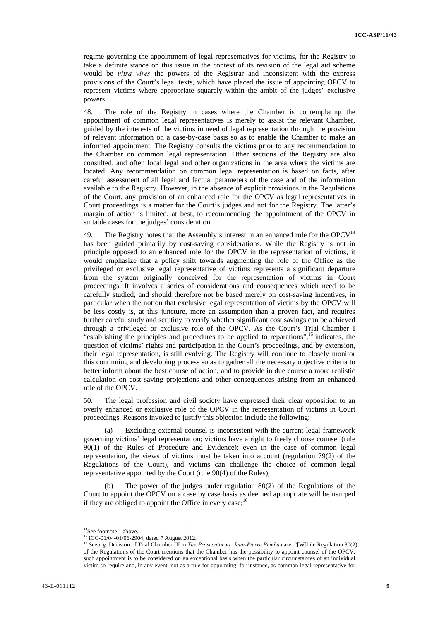regime governing the appointment of legal representatives for victims, for the Registry to take a definite stance on this issue in the context of its revision of the legal aid scheme would be *ultra vires* the powers of the Registrar and inconsistent with the express provisions of the Court's legal texts, which have placed the issue of appointing OPCV to represent victims where appropriate squarely within the ambit of the judges' exclusive powers.

48. The role of the Registry in cases where the Chamber is contemplating the appointment of common legal representatives is merely to assist the relevant Chamber, guided by the interests of the victims in need of legal representation through the provision of relevant information on a case-by-case basis so as to enable the Chamber to make an informed appointment. The Registry consults the victims prior to any recommendation to the Chamber on common legal representation. Other sections of the Registry are also consulted, and often local legal and other organizations in the area where the victims are located. Any recommendation on common legal representation is based on facts, after careful assessment of all legal and factual parameters of the case and of the information available to the Registry. However, in the absence of explicit provisions in the Regulations of the Court, any provision of an enhanced role for the OPCV as legal representatives in Court proceedings is a matter for the Court's judges and not for the Registry. The latter's margin of action is limited, at best, to recommending the appointment of the OPCV in suitable cases for the judges' consideration.

49. The Registry notes that the Assembly's interest in an enhanced role for the  $OPCV<sup>14</sup>$ has been guided primarily by cost-saving considerations. While the Registry is not in principle opposed to an enhanced role for the OPCV in the representation of victims, it would emphasize that a policy shift towards augmenting the role of the Office as the privileged or exclusive legal representative of victims represents a significant departure from the system originally conceived for the representation of victims in Court proceedings. It involves a series of considerations and consequences which need to be carefully studied, and should therefore not be based merely on cost-saving incentives, in particular when the notion that exclusive legal representation of victims by the OPCV will be less costly is, at this juncture, more an assumption than a proven fact, and requires further careful study and scrutiny to verify whether significant cost savings can be achieved through a privileged or exclusive role of the OPCV. As the Court's Trial Chamber I "establishing the principles and procedures to be applied to reparations",  $^{15}$  indicates, the question of victims' rights and participation in the Court's proceedings, and by extension, their legal representation, is still evolving. The Registry will continue to closely monitor this continuing and developing process so as to gather all the necessary objective criteria to better inform about the best course of action, and to provide in due course a more realistic calculation on cost saving projections and other consequences arising from an enhanced role of the OPCV.

50. The legal profession and civil society have expressed their clear opposition to an overly enhanced or exclusive role of the OPCV in the representation of victims in Court proceedings. Reasons invoked to justify this objection include the following:

(a) Excluding external counsel is inconsistent with the current legal framework governing victims' legal representation; victims have a right to freely choose counsel (rule 90(1) of the Rules of Procedure and Evidence); even in the case of common legal representation, the views of victims must be taken into account (regulation 79(2) of the Regulations of the Court), and victims can challenge the choice of common legal representative appointed by the Court (rule 90(4) of the Rules);

(b) The power of the judges under regulation 80(2) of the Regulations of the Court to appoint the OPCV on a case by case basis as deemed appropriate will be usurped if they are obliged to appoint the Office in every case; $16$ 

<u> 1989 - Jan Barat, martin amerikan basar dan bagi dan basar dalam basar dalam basar dalam basar dalam basar da</u>

<sup>&</sup>lt;sup>14</sup>See footnote 1 above.

<sup>&</sup>lt;sup>15</sup> ICC-01/04-01/06-2904, dated 7 August 2012.

<sup>16</sup> See *e.g.* Decision of Trial Chamber III in *The Prosecutor vs. Jean-Pierre Bemba* case: "[W]hile Regulation 80(2) of the Regulations of the Court mentions that the Chamber has the possibility to appoint counsel of the OPCV, such appointment is to be considered on an exceptional basis when the particular circumstances of an individual victim so require and, in any event, not as a rule for appointing, for instance, as common legal representative for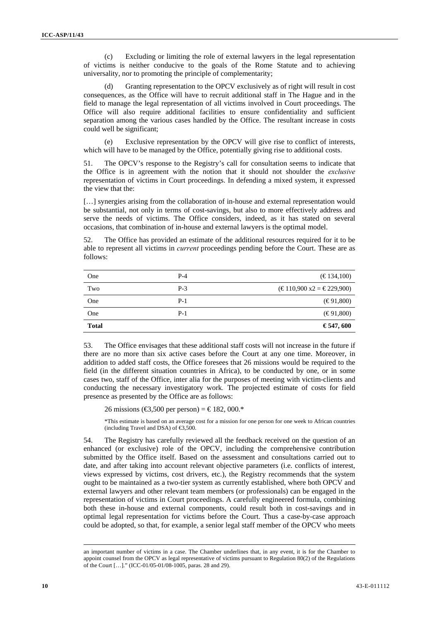(c) Excluding or limiting the role of external lawyers in the legal representation of victims is neither conducive to the goals of the Rome Statute and to achieving universality, nor to promoting the principle of complementarity;

Granting representation to the OPCV exclusively as of right will result in cost consequences, as the Office will have to recruit additional staff in The Hague and in the field to manage the legal representation of all victims involved in Court proceedings. The Office will also require additional facilities to ensure confidentiality and sufficient separation among the various cases handled by the Office. The resultant increase in costs could well be significant;

(e) Exclusive representation by the OPCV will give rise to conflict of interests, which will have to be managed by the Office, potentially giving rise to additional costs.

51. The OPCV's response to the Registry's call for consultation seems to indicate that the Office is in agreement with the notion that it should not shoulder the *exclusive*  representation of victims in Court proceedings. In defending a mixed system, it expressed the view that the:

[...] synergies arising from the collaboration of in-house and external representation would be substantial, not only in terms of cost-savings, but also to more effectively address and serve the needs of victims. The Office considers, indeed, as it has stated on several occasions, that combination of in-house and external lawyers is the optimal model.

52. The Office has provided an estimate of the additional resources required for it to be able to represent all victims in *current* proceedings pending before the Court. These are as follows:

| One          | $P-4$ | (E134,100)                                       |
|--------------|-------|--------------------------------------------------|
| Two          | $P-3$ | $(\text{€}110,900 \text{ x2} = \text{€}229,900)$ |
| One          | $P-1$ | $(\epsilon \epsilon 91,800)$                     |
| One          | $P-1$ | $(\epsilon \epsilon 91,800)$                     |
| <b>Total</b> |       | €547,600                                         |

53. The Office envisages that these additional staff costs will not increase in the future if there are no more than six active cases before the Court at any one time. Moreover, in addition to added staff costs, the Office foresees that 26 missions would be required to the field (in the different situation countries in Africa), to be conducted by one, or in some cases two, staff of the Office, inter alia for the purposes of meeting with victim-clients and conducting the necessary investigatory work*.* The projected estimate of costs for field presence as presented by the Office are as follows:

26 missions (€3,500 per person) = €182,000.\*

\*This estimate is based on an average cost for a mission for one person for one week to African countries (including Travel and DSA) of  $\text{ } \infty$ 3,500.

54. The Registry has carefully reviewed all the feedback received on the question of an enhanced (or exclusive) role of the OPCV, including the comprehensive contribution submitted by the Office itself. Based on the assessment and consultations carried out to date, and after taking into account relevant objective parameters (i.e. conflicts of interest, views expressed by victims, cost drivers, etc.), the Registry recommends that the system ought to be maintained as a two-tier system as currently established, where both OPCV and external lawyers and other relevant team members (or professionals) can be engaged in the representation of victims in Court proceedings. A carefully engineered formula, combining both these in-house and external components, could result both in cost-savings and in optimal legal representation for victims before the Court. Thus a case-by-case approach could be adopted, so that, for example, a senior legal staff member of the OPCV who meets

<sup>&</sup>lt;u> 1989 - Jan Salaman Salaman (j. 1989)</u> an important number of victims in a case. The Chamber underlines that, in any event, it is for the Chamber to appoint counsel from the OPCV as legal representative of victims pursuant to Regulation 80(2) of the Regulations of the Court […]." (ICC-01/05-01/08-1005, paras. 28 and 29).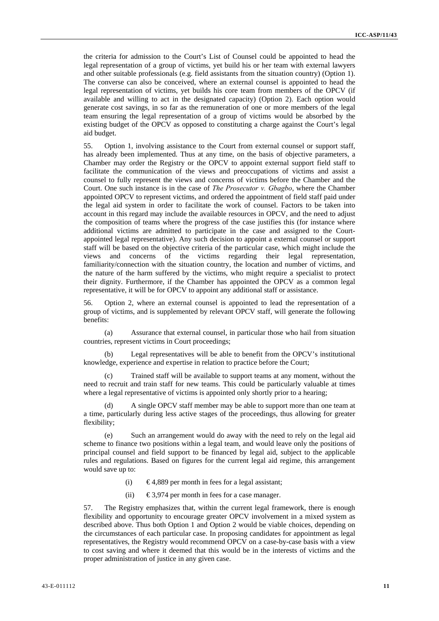the criteria for admission to the Court's List of Counsel could be appointed to head the legal representation of a group of victims, yet build his or her team with external lawyers and other suitable professionals (e.g. field assistants from the situation country) (Option 1). The converse can also be conceived, where an external counsel is appointed to head the legal representation of victims, yet builds his core team from members of the OPCV (if available and willing to act in the designated capacity) (Option 2). Each option would generate cost savings, in so far as the remuneration of one or more members of the legal team ensuring the legal representation of a group of victims would be absorbed by the existing budget of the OPCV as opposed to constituting a charge against the Court's legal aid budget.

55. Option 1, involving assistance to the Court from external counsel or support staff, has already been implemented. Thus at any time, on the basis of objective parameters, a Chamber may order the Registry or the OPCV to appoint external support field staff to facilitate the communication of the views and preoccupations of victims and assist a counsel to fully represent the views and concerns of victims before the Chamber and the Court. One such instance is in the case of *The Prosecutor v. Gbagbo*, where the Chamber appointed OPCV to represent victims, and ordered the appointment of field staff paid under the legal aid system in order to facilitate the work of counsel. Factors to be taken into account in this regard may include the available resources in OPCV, and the need to adjust the composition of teams where the progress of the case justifies this (for instance where additional victims are admitted to participate in the case and assigned to the Courtappointed legal representative). Any such decision to appoint a external counsel or support staff will be based on the objective criteria of the particular case, which might include the views and concerns of the victims regarding their legal representation, familiarity/connection with the situation country, the location and number of victims, and the nature of the harm suffered by the victims, who might require a specialist to protect their dignity. Furthermore, if the Chamber has appointed the OPCV as a common legal representative, it will be for OPCV to appoint any additional staff or assistance.

56. Option 2, where an external counsel is appointed to lead the representation of a group of victims, and is supplemented by relevant OPCV staff, will generate the following benefits:

(a) Assurance that external counsel, in particular those who hail from situation countries, represent victims in Court proceedings;

(b) Legal representatives will be able to benefit from the OPCV's institutional knowledge, experience and expertise in relation to practice before the Court;

Trained staff will be available to support teams at any moment, without the need to recruit and train staff for new teams. This could be particularly valuable at times where a legal representative of victims is appointed only shortly prior to a hearing;

(d) A single OPCV staff member may be able to support more than one team at a time, particularly during less active stages of the proceedings, thus allowing for greater flexibility;

(e) Such an arrangement would do away with the need to rely on the legal aid scheme to finance two positions within a legal team, and would leave only the positions of principal counsel and field support to be financed by legal aid, subject to the applicable rules and regulations. Based on figures for the current legal aid regime, this arrangement would save up to:

- (i)  $\epsilon$ 4,889 per month in fees for a legal assistant;
- (ii)  $\epsilon$ 3,974 per month in fees for a case manager.

57. The Registry emphasizes that, within the current legal framework, there is enough flexibility and opportunity to encourage greater OPCV involvement in a mixed system as described above. Thus both Option 1 and Option 2 would be viable choices, depending on the circumstances of each particular case. In proposing candidates for appointment as legal representatives, the Registry would recommend OPCV on a case-by-case basis with a view to cost saving and where it deemed that this would be in the interests of victims and the proper administration of justice in any given case.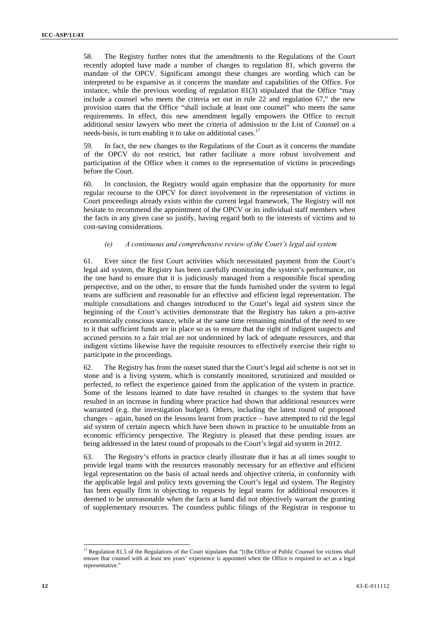58. The Registry further notes that the amendments to the Regulations of the Court recently adopted have made a number of changes to regulation 81, which governs the mandate of the OPCV. Significant amongst these changes are wording which can be interpreted to be expansive as it concerns the mandate and capabilities of the Office. For instance, while the previous wording of regulation 81(3) stipulated that the Office "may include a counsel who meets the criteria set out in rule 22 and regulation 67," the new provision states that the Office "shall include at least one counsel" who meets the same requirements. In effect, this new amendment legally empowers the Office to recruit additional senior lawyers who meet the criteria of admission to the List of Counsel on a needs-basis, in turn enabling it to take on additional cases. $17$ 

59. In fact, the new changes to the Regulations of the Court as it concerns the mandate of the OPCV do not restrict, but rather facilitate a more robust involvement and participation of the Office when it comes to the representation of victims in proceedings before the Court.

60. In conclusion, the Registry would again emphasize that the opportunity for more regular recourse to the OPCV for direct involvement in the representation of victims in Court proceedings already exists within the current legal framework, The Registry will not hesitate to recommend the appointment of the OPCV or its individual staff members when the facts in any given case so justify, having regard both to the interests of victims and to cost-saving considerations.

#### *(e) A continuous and comprehensive review of the Court's legal aid system*

61. Ever since the first Court activities which necessitated payment from the Court's legal aid system, the Registry has been carefully monitoring the system's performance, on the one hand to ensure that it is judiciously managed from a responsible fiscal spending perspective, and on the other, to ensure that the funds furnished under the system to legal teams are sufficient and reasonable for an effective and efficient legal representation. The multiple consultations and changes introduced to the Court's legal aid system since the beginning of the Court's activities demonstrate that the Registry has taken a pro-active economically conscious stance, while at the same time remaining mindful of the need to see to it that sufficient funds are in place so as to ensure that the right of indigent suspects and accused persons to a fair trial are not undermined by lack of adequate resources, and that indigent victims likewise have the requisite resources to effectively exercise their right to participate in the proceedings.

62. The Registry has from the outset stated that the Court's legal aid scheme is not set in stone and is a living system, which is constantly monitored, scrutinized and moulded or perfected, to reflect the experience gained from the application of the system in practice. Some of the lessons learned to date have resulted in changes to the system that have resulted in an increase in funding where practice had shown that additional resources were warranted (e.g. the investigation budget). Others, including the latest round of proposed changes – again, based on the lessons learnt from practice – have attempted to rid the legal aid system of certain aspects which have been shown in practice to be unsuitable from an economic efficiency perspective. The Registry is pleased that these pending issues are being addressed in the latest round of proposals to the Court's legal aid system in 2012.

63. The Registry's efforts in practice clearly illustrate that it has at all times sought to provide legal teams with the resources reasonably necessary for an effective and efficient legal representation on the basis of actual needs and objective criteria, in conformity with the applicable legal and policy texts governing the Court's legal aid system. The Registry has been equally firm in objecting to requests by legal teams for additional resources it deemed to be unreasonable when the facts at hand did not objectively warrant the granting of supplementary resources. The countless public filings of the Registrar in response to

<sup>&</sup>lt;u> 1989 - Johann Barbara, martxa alemaniar a</u> <sup>17</sup> Regulation 81.5 of the Regulations of the Court stipulates that "[t]he Office of Public Counsel for victims shall ensure that counsel with at least ten years' experience is appointed when the Office is required to act as a legal representative."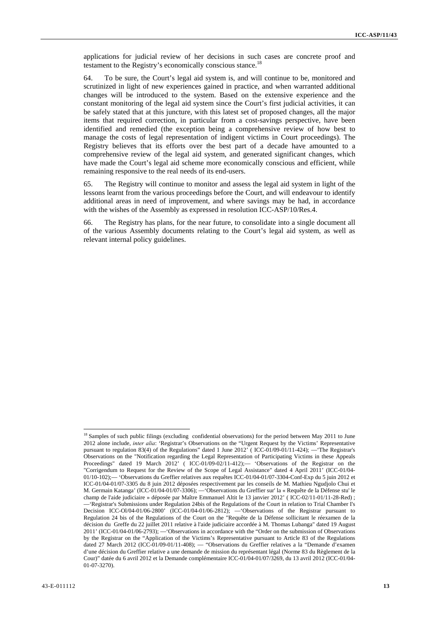applications for judicial review of her decisions in such cases are concrete proof and testament to the Registry's economically conscious stance.<sup>18</sup>

64. To be sure, the Court's legal aid system is, and will continue to be, monitored and scrutinized in light of new experiences gained in practice, and when warranted additional changes will be introduced to the system. Based on the extensive experience and the constant monitoring of the legal aid system since the Court's first judicial activities, it can be safely stated that at this juncture, with this latest set of proposed changes, all the major items that required correction, in particular from a cost-savings perspective, have been identified and remedied (the exception being a comprehensive review of how best to manage the costs of legal representation of indigent victims in Court proceedings). The Registry believes that its efforts over the best part of a decade have amounted to a comprehensive review of the legal aid system, and generated significant changes, which have made the Court's legal aid scheme more economically conscious and efficient, while remaining responsive to the real needs of its end-users.

65. The Registry will continue to monitor and assess the legal aid system in light of the lessons learnt from the various proceedings before the Court, and will endeavour to identify additional areas in need of improvement, and where savings may be had, in accordance with the wishes of the Assembly as expressed in resolution ICC-ASP/10/Res.4.

66. The Registry has plans, for the near future, to consolidate into a single document all of the various Assembly documents relating to the Court's legal aid system, as well as relevant internal policy guidelines.

<sup>&</sup>lt;sup>18</sup> Samples of such public filings (excluding confidential observations) for the period between May 2011 to June 2012 alone include, *inter alia*: 'Registrar's Observations on the "Urgent Request by the Victims' Representative pursuant to regulation 83(4) of the Regulations" dated 1 June  $2012$ <sup>"</sup> (ICC-01/09-01/11-424); — The Registrar's Observations on the "Notification regarding the Legal Representation of Participating Victims in these Appeals Proceedings" dated 19 March 2012' (ICC-01/09-02/11-412); - 'Observations of the Registrar on the "Corrigendum to Request for the Review of the Scope of Legal Assistance" dated 4 April 2011' (ICC-01/04- 01/10-102);— 'Observations du Greffier relatives aux requêtes ICC-01/04-01/07-3304-Conf-Exp du 5 juin 2012 et ICC-01/04-01/07-3305 du 8 juin 2012 déposées respectivement par les conseils de M. Mathieu Ngudjolo Chui et M. Germain Katanga' (ICC-01/04-01/07-3306); —'Observations du Greffier sur' la « Requête de la Défense stu' le champ de l'aide judiciaire » déposée par Maître Emmanuel Altit le 13 janvier 2012' ( ICC-02/11-01/11-28-Red) ; —'Registrar's Submissions under Regulation 24bis of the Regulations of the Court in relation to Trial Chamber I's Decision ICC-Ol/04-01/06-2800' (ICC-01/04-01/06-2812); —'Observations of the Registrar pursuant to Regulation 24 bis of the Regulations of the Court on the "Requête de la Défense sollicitant le réexamen de la décision du Greffe du 22 juillet 2011 relative à l'aide judiciaire accordée à M. Thomas Lubanga" dated 19 August 2011' (ICC-01/04-01/06-2793); —'Observations in accordance with the "Order on the submission of Observations by the Registrar on the "Application of the Victims's Representative pursuant to Article 83 of the Regulations dated 27 March 2012 (ICC-01/09-01/11-408); — "Observations du Greffier relatives a la "Demande d'examen d'une décision du Greffier relative a une demande de mission du représentant légal (Norme 83 du Règlement de la Cour)" datée du 6 avril 2012 et la Demande complémentaire ICC-01/04-01/07/3269, du 13 avril 2012 (ICC-01/04- 01-07-3270).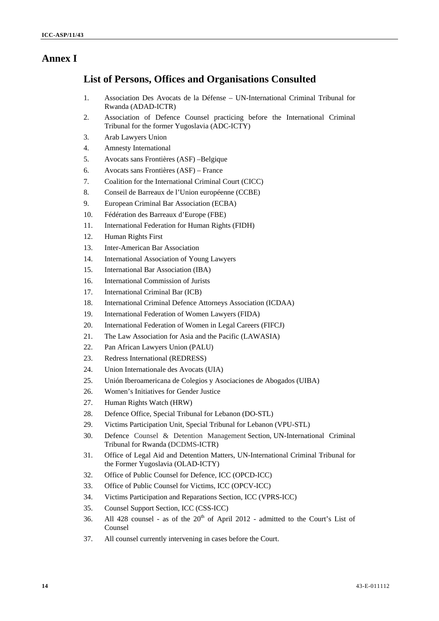## **Annex I**

## **List of Persons, Offices and Organisations Consulted**

- 1. Association Des Avocats de la Défense UN-International Criminal Tribunal for Rwanda (ADAD-ICTR)
- 2. Association of Defence Counsel practicing before the International Criminal Tribunal for the former Yugoslavia (ADC-ICTY)
- 3. Arab Lawyers Union
- 4. Amnesty International
- 5. Avocats sans Frontières (ASF) –Belgique
- 6. Avocats sans Frontières (ASF) France
- 7. Coalition for the International Criminal Court (CICC)
- 8. Conseil de Barreaux de l'Union européenne (CCBE)
- 9. European Criminal Bar Association (ECBA)
- 10. Fédération des Barreaux d'Europe (FBE)
- 11. International Federation for Human Rights (FIDH)
- 12. Human Rights First
- 13. Inter-American Bar Association
- 14. International Association of Young Lawyers
- 15. International Bar Association (IBA)
- 16. International Commission of Jurists
- 17. International Criminal Bar (ICB)
- 18. International Criminal Defence Attorneys Association (ICDAA)
- 19. International Federation of Women Lawyers (FIDA)
- 20. International Federation of Women in Legal Careers (FIFCJ)
- 21. The Law Association for Asia and the Pacific (LAWASIA)
- 22. Pan African Lawyers Union (PALU)
- 23. Redress International (REDRESS)
- 24. Union Internationale des Avocats (UIA)
- 25. Unión Iberoamericana de Colegios y Asociaciones de Abogados (UIBA)
- 26. Women's Initiatives for Gender Justice
- 27. Human Rights Watch (HRW)
- 28. Defence Office, Special Tribunal for Lebanon (DO-STL)
- 29. Victims Participation Unit, Special Tribunal for Lebanon (VPU-STL)
- 30. Defence Counsel & Detention Management Section, UN-International Criminal Tribunal for Rwanda (DCDMS-ICTR)
- 31. Office of Legal Aid and Detention Matters, UN-International Criminal Tribunal for the Former Yugoslavia (OLAD-ICTY)
- 32. Office of Public Counsel for Defence, ICC (OPCD-ICC)
- 33. Office of Public Counsel for Victims, ICC (OPCV-ICC)
- 34. Victims Participation and Reparations Section, ICC (VPRS-ICC)
- 35. Counsel Support Section, ICC (CSS-ICC)
- 36. All 428 counsel as of the  $20<sup>th</sup>$  of April 2012 admitted to the Court's List of Counsel
- 37. All counsel currently intervening in cases before the Court.